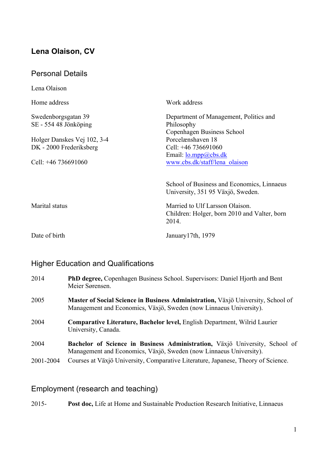# **Lena Olaison, CV**

| <b>Personal Details</b>                        |                                                                                          |
|------------------------------------------------|------------------------------------------------------------------------------------------|
| Lena Olaison                                   |                                                                                          |
| Home address                                   | Work address                                                                             |
| Swedenborgsgatan 39<br>$SE - 554$ 48 Jönköping | Department of Management, Politics and<br>Philosophy<br>Copenhagen Business School       |
| Holger Danskes Vej 102, 3-4                    | Porcelænshaven 18                                                                        |
| DK - 2000 Frederiksberg                        | Cell: +46 736691060                                                                      |
| Cell: $+46$ 736691060                          | Email: $\log_{10}(a)$ cbs.dk<br>www.cbs.dk/staff/lena olaison                            |
|                                                | School of Business and Economics, Linnaeus<br>University, 351 95 Växjö, Sweden.          |
| Marital status                                 | Married to Ulf Larsson Olaison.<br>Children: Holger, born 2010 and Valter, born<br>2014. |
| Date of birth                                  | January 17th, 1979                                                                       |

# Higher Education and Qualifications

| 2014      | PhD degree, Copenhagen Business School. Supervisors: Daniel Hjorth and Bent<br>Meier Sørensen.                                                         |  |  |
|-----------|--------------------------------------------------------------------------------------------------------------------------------------------------------|--|--|
| 2005      | Master of Social Science in Business Administration, Växjö University, School of<br>Management and Economics, Växjö, Sweden (now Linnaeus University). |  |  |
| 2004      | <b>Comparative Literature, Bachelor level, English Department, Wilrid Laurier</b><br>University, Canada.                                               |  |  |
| 2004      | Bachelor of Science in Business Administration, Växjö University, School of<br>Management and Economics, Växjö, Sweden (now Linnaeus University).      |  |  |
| 2001-2004 | Courses at Växjö University, Comparative Literature, Japanese, Theory of Science.                                                                      |  |  |

# Employment (research and teaching)

2015- **Post doc,** Life at Home and Sustainable Production Research Initiative, Linnaeus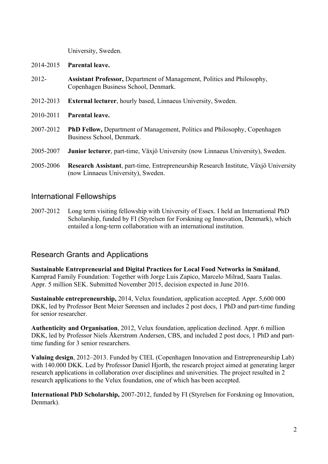University, Sweden.

- 2014-2015 **Parental leave.**
- 2012- **Assistant Professor,** Department of Management, Politics and Philosophy, Copenhagen Business School, Denmark.
- 2012-2013 **External lecturer**, hourly based, Linnaeus University, Sweden.
- 2010-2011 **Parental leave.**
- 2007-2012 **PhD Fellow,** Department of Management, Politics and Philosophy, Copenhagen Business School, Denmark.
- 2005-2007 **Junior lecturer**, part-time, Växjö University (now Linnaeus University), Sweden.
- 2005-2006 **Research Assistant**, part-time, Entrepreneurship Research Institute, Växjö University (now Linnaeus University), Sweden.

### International Fellowships

2007-2012 Long term visiting fellowship with University of Essex. I held an International PhD Scholarship, funded by FI (Styrelsen for Forskning og Innovation, Denmark), which entailed a long-term collaboration with an international institution.

### Research Grants and Applications

**Sustainable Entrepreneurial and Digital Practices for Local Food Networks in Småland**, Kamprad Family Foundation: Together with Jorge Luis Zapico, Marcelo Milrad, Saara Taalas. Appr. 5 million SEK. Submitted November 2015, decision expected in June 2016.

**Sustainable entrepreneurship,** 2014, Velux foundation, application accepted. Appr. 5,600 000 DKK, led by Professor Bent Meier Sørensen and includes 2 post docs, 1 PhD and part-time funding for senior researcher.

**Authenticity and Organisation**, 2012, Velux foundation, application declined. Appr. 6 million DKK, led by Professor Niels Åkerstrøm Andersen, CBS, and included 2 post docs, 1 PhD and parttime funding for 3 senior researchers.

**Valuing design**, 2012–2013. Funded by CIEL (Copenhagen Innovation and Entrepreneurship Lab) with 140,000 DKK. Led by Professor Daniel Hiorth, the research project aimed at generating larger research applications in collaboration over disciplines and universities. The project resulted in 2 research applications to the Velux foundation, one of which has been accepted.

**International PhD Scholarship,** 2007-2012, funded by FI (Styrelsen for Forskning og Innovation, Denmark).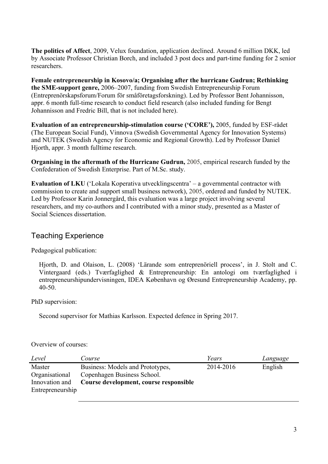**The politics of Affect**, 2009, Velux foundation, application declined. Around 6 million DKK, led by Associate Professor Christian Borch, and included 3 post docs and part-time funding for 2 senior researchers.

**Female entrepreneurship in Kosovo/a; Organising after the hurricane Gudrun; Rethinking the SME-support genre,** 2006–2007, funding from Swedish Entrepreneurship Forum (Entreprenörskapsforum/Forum för småföretagsforskning). Led by Professor Bent Johannisson, appr. 6 month full-time research to conduct field research (also included funding for Bengt Johannisson and Fredric Bill, that is not included here).

**Evaluation of an entrepreneurship-stimulation course ('CORE'),** 2005, funded by ESF-rådet (The European Social Fund), Vinnova (Swedish Governmental Agency for Innovation Systems) and NUTEK (Swedish Agency for Economic and Regional Growth). Led by Professor Daniel Hjorth, appr. 3 month fulltime research.

**Organising in the aftermath of the Hurricane Gudrun,** 2005, empirical research funded by the Confederation of Swedish Enterprise. Part of M.Sc. study.

**Evaluation of LKU** ('Lokala Koperativa utvecklingscentra' – a governmental contractor with commission to create and support small business network), 2005, ordered and funded by NUTEK. Led by Professor Karin Jonnergård, this evaluation was a large project involving several researchers, and my co-authors and I contributed with a minor study, presented as a Master of Social Sciences dissertation.

## Teaching Experience

Pedagogical publication:

Hjorth, D. and Olaison, L. (2008) 'Lärande som entreprenöriell process', in J. Stolt and C. Vintergaard (eds.) Tværfaglighed & Entrepreneurship: En antologi om tværfaglighed i entrepreneurshipundervisningen, IDEA København og Øresund Entrepreneurship Academy, pp. 40-50.

PhD supervision:

Second supervisor for Mathias Karlsson. Expected defence in Spring 2017.

Overview of courses:

| Level            | Course                                 | Years     | Language |
|------------------|----------------------------------------|-----------|----------|
| Master           | Business: Models and Prototypes,       | 2014-2016 | English  |
| Organisational   | Copenhagen Business School.            |           |          |
| Innovation and   | Course development, course responsible |           |          |
| Entrepreneurship |                                        |           |          |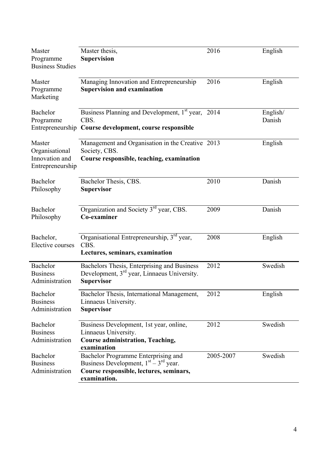| Master<br>Programme<br><b>Business Studies</b>                 | Master thesis,<br><b>Supervision</b>                                                                                                      | 2016      | English            |
|----------------------------------------------------------------|-------------------------------------------------------------------------------------------------------------------------------------------|-----------|--------------------|
| Master<br>Programme<br>Marketing                               | Managing Innovation and Entrepreneurship<br><b>Supervision and examination</b>                                                            | 2016      | English            |
| Bachelor<br>Programme                                          | Business Planning and Development, 1 <sup>st</sup> year, 2014<br>CBS.<br>Entrepreneurship Course development, course responsible          |           | English/<br>Danish |
| Master<br>Organisational<br>Innovation and<br>Entrepreneurship | Management and Organisation in the Creative 2013<br>Society, CBS.<br>Course responsible, teaching, examination                            |           | English            |
| Bachelor<br>Philosophy                                         | Bachelor Thesis, CBS.<br><b>Supervisor</b>                                                                                                | 2010      | Danish             |
| Bachelor<br>Philosophy                                         | Organization and Society 3 <sup>rd</sup> year, CBS.<br>Co-examiner                                                                        | 2009      | Danish             |
| Bachelor,<br>Elective courses                                  | Organisational Entrepreneurship, 3 <sup>rd</sup> year,<br>CBS.<br>Lectures, seminars, examination                                         | 2008      | English            |
| Bachelor<br><b>Business</b><br>Administration                  | Bachelors Thesis, Enterprising and Business<br>Development, 3 <sup>rd</sup> year, Linnaeus University.<br><b>Supervisor</b>               | 2012      | Swedish            |
| Bachelor<br><b>Business</b><br>Administration                  | Bachelor Thesis, International Management,<br>Linnaeus University.<br><b>Supervisor</b>                                                   | 2012      | English            |
| Bachelor<br><b>Business</b><br>Administration                  | Business Development, 1st year, online,<br>Linnaeus University.<br><b>Course administration, Teaching,</b><br>examination                 | 2012      | Swedish            |
| Bachelor<br><b>Business</b><br>Administration                  | Bachelor Programme Enterprising and<br>Business Development, $1st - 3rd$ year.<br>Course responsible, lectures, seminars,<br>examination. | 2005-2007 | Swedish            |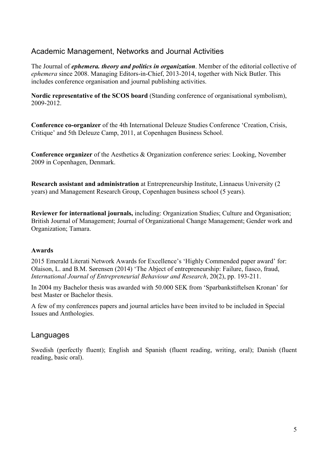## Academic Management, Networks and Journal Activities

The Journal of *ephemera. theory and politics in organization*. Member of the editorial collective of *ephemera* since 2008. Managing Editors-in-Chief, 2013-2014, together with Nick Butler. This includes conference organisation and journal publishing activities.

**Nordic representative of the SCOS board** (Standing conference of organisational symbolism), 2009-2012.

**Conference co-organizer** of the 4th International Deleuze Studies Conference 'Creation, Crisis, Critique' and 5th Deleuze Camp, 2011, at Copenhagen Business School.

**Conference organizer** of the Aesthetics & Organization conference series: Looking, November 2009 in Copenhagen, Denmark.

**Research assistant and administration** at Entrepreneurship Institute, Linnaeus University (2 years) and Management Research Group, Copenhagen business school (5 years).

**Reviewer for international journals,** including: Organization Studies; Culture and Organisation; British Journal of Management; Journal of Organizational Change Management; Gender work and Organization; Tamara.

#### **Awards**

2015 Emerald Literati Network Awards for Excellence's 'Highly Commended paper award' for: Olaison, L. and B.M. Sørensen (2014) 'The Abject of entrepreneurship: Failure, fiasco, fraud, *International Journal of Entrepreneurial Behaviour and Research*, 20(2), pp. 193-211.

In 2004 my Bachelor thesis was awarded with 50.000 SEK from 'Sparbankstiftelsen Kronan' for best Master or Bachelor thesis.

A few of my conferences papers and journal articles have been invited to be included in Special Issues and Anthologies.

### Languages

Swedish (perfectly fluent); English and Spanish (fluent reading, writing, oral); Danish (fluent reading, basic oral).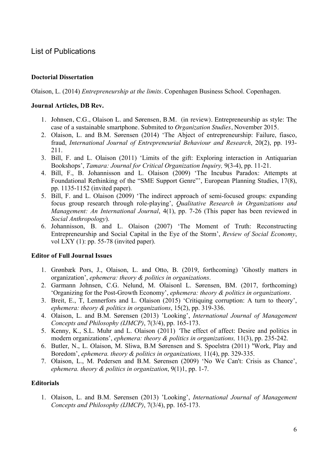## List of Publications

#### **Doctorial Dissertation**

Olaison, L. (2014) *Entrepreneurship at the limits*. Copenhagen Business School. Copenhagen.

#### **Journal Articles, DB Rev.**

- 1. Johnsen, C.G., Olaison L. and Sørensen, B.M. (in review). Entrepreneurship as style: The case of a sustainable smartphone. Submited to *Organization Studies*, November 2015.
- 2. Olaison, L. and B.M. Sørensen (2014) 'The Abject of entrepreneurship: Failure, fiasco, fraud, *International Journal of Entrepreneurial Behaviour and Research*, 20(2), pp. 193- 211.
- 3. Bill, F. and L. Olaison (2011) 'Limits of the gift: Exploring interaction in Antiquarian Bookshops', *Tamara: Journal for Critical Organization Inquiry,* 9(3-4), pp. 11-21.
- 4. Bill, F., B. Johannisson and L. Olaison (2009) 'The Incubus Paradox: Attempts at Foundational Rethinking of the "SME Support Genre"', European Planning Studies, 17(8), pp. 1135-1152 (invited paper).
- 5. Bill, F. and L. Olaison (2009) 'The indirect approach of semi-focused groups: expanding focus group research through role-playing', *Qualitative Research in Organizations and Management: An International Journal*, 4(1), pp. 7-26 (This paper has been reviewed in *Social Anthropology*).
- 6. Johannisson, B. and L. Olaison (2007) 'The Moment of Truth: Reconstructing Entrepreneurship and Social Capital in the Eye of the Storm', *Review of Social Economy*, vol LXY (1): pp. 55-78 (invited paper).

#### **Editor of Full Journal Issues**

- 1. Grønbæk Pors, J., Olaison, L. and Otto, B. (2019, forthcoming) 'Ghostly matters in organization', *ephemera: theory & politics in organizations*.
- 2. Garmann Johnsen, C.G. Nelund, M. Olaisonl L. Sørensen, BM. (2017, forthcoming) 'Organizing for the Post-Growth Economy', *ephemera: theory & politics in organizations*.
- 3. Breit, E., T, Lennerfors and L. Olaison (2015) 'Critiquing corruption: A turn to theory', *ephemera: theory & politics in organizations*, 15(2), pp. 319-336.
- 4. Olaison, L. and B.M. Sørensen (2013) 'Looking', *International Journal of Management Concepts and Philosophy (IJMCP)*, 7(3/4), pp. 165-173.
- 5. Kenny, K., S.L. Muhr and L. Olaison (2011) *'*The effect of affect: Desire and politics in modern organizations', *ephemera: theory & politics in organizations,* 11(3), pp. 235-242.
- 6. Butler, N., L. Olaison, M. Sliwa, B.M Sørensen and S. Spoelstra (2011) **'**Work, Play and Boredom', *ephemera. theory & politics in organizations,* 11(4), pp. 329-335.
- 7. Olaison, L., M. Pedersen and B.M. Sørensen (2009) 'No We Can't: Crisis as Chance', *ephemera. theory & politics in organization*, 9(1)1, pp. 1-7.

#### **Editorials**

1. Olaison, L. and B.M. Sørensen (2013) 'Looking', *International Journal of Management Concepts and Philosophy (IJMCP)*, 7(3/4), pp. 165-173.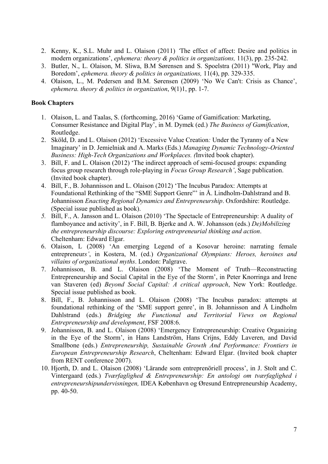- 2. Kenny, K., S.L. Muhr and L. Olaison (2011) *'*The effect of affect: Desire and politics in modern organizations', *ephemera: theory & politics in organizations,* 11(3), pp. 235-242.
- 3. Butler, N., L. Olaison, M. Sliwa, B.M Sørensen and S. Spoelstra (2011) **'**Work, Play and Boredom', *ephemera. theory & politics in organizations,* 11(4), pp. 329-335.
- 4. Olaison, L., M. Pedersen and B.M. Sørensen (2009) 'No We Can't: Crisis as Chance', *ephemera. theory & politics in organization*, 9(1)1, pp. 1-7.

#### **Book Chapters**

- 1. Olaison, L. and Taalas, S. (forthcoming, 2016) 'Game of Gamification: Marketing, Consumer Resistance and Digital Play', in M. Dymek (ed.) *The Business of Gamification*, Routledge.
- 2. Sköld, D. and L. Olaison (2012) 'Excessive Value Creation*:* Under the Tyranny of a New Imaginary' in D. Jemielniak and A. Marks (Eds.) *Managing Dynamic Technology-Oriented Business: High-Tech Organizations and Workplaces. (*Invited book chapter).
- 3. Bill, F. and L. Olaison (2012) 'The indirect approach of semi-focused groups: expanding focus group research through role-playing in *Focus Group Research'*, Sage publication. (Invited book chapter).
- 4. Bill, F., B. Johannisson and L. Olaison (2012) 'The Incubus Paradox: Attempts at Foundational Rethinking of the "SME Support Genre"' in Å. Lindholm-Dahlstrand and B. Johannisson *Enacting Regional Dynamics and Entrepreneurship*. Oxfordshire: Routledge. (Special issue published as book).
- *5.* Bill, F., A. Jansson and L. Olaison (2010) 'The Spectacle of Entrepreneurship: A duality of flamboyance and activity', in F. Bill, B. Bjerke and A. W. Johansson (eds.) *De)Mobilizing the entrepreneurship discourse: Exploring entrepreneurial thinking and action*. Cheltenham: Edward Elgar.
- 6. Olaison, L (2008) 'An emerging Legend of a Kosovar heroine: narrating female entrepreneur*s'*, in Kostera, M. (ed.) *Organizational Olympians: Heroes, heroines and villains of organizational myths*. London: Palgrave.
- 7. Johannisson, B. and L. Olaison (2008) 'The Moment of Truth—Reconstructing Entrepreneurship and Social Capital in the Eye of the Storm', in Peter Knorringa and Irene van Staveren (ed) *Beyond Social Capital: A critical approach*, New York: Routledge. Special issue published as book.
- 8. Bill, F., B. Johannisson and L. Olaison (2008) 'The Incubus paradox: attempts at foundational rethinking of the 'SME support genre', in B. Johannisson and Å Lindholm Dahlstrand (eds.) *Bridging the Functional and Territorial Views on Regional Entrepreneurship and development*, FSF 2008:6.
- 9. Johannisson, B. and L. Olaison (2008) 'Emergency Entrepreneurship: Creative Organizing in the Eye of the Storm', in Hans Landström, Hans Crijns, Eddy Laveren, and David Smallbone (eds.) *Entrepreneurship, Sustainable Growth And Performance: Frontiers in European Entrepreneurship Research*, Cheltenham: Edward Elgar. (Invited book chapter from RENT conference 2007).
- 10. Hjorth, D. and L. Olaison (2008) 'Lärande som entreprenöriell process', in J. Stolt and C. Vintergaard (eds.) *Tværfaglighed & Entrepreneurship: En antologi om tværfaglighed i entrepreneurshipundervisningen,* IDEA København og Øresund Entrepreneurship Academy, pp. 40-50.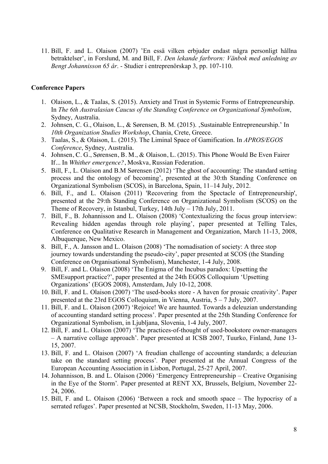11. Bill, F. and L. Olaison (2007) 'En essä vilken erbjuder endast några personligt hållna betraktelser', in Forslund, M. and Bill, F. *Den lekande farbrorn: Vänbok med anledning av Bengt Johannisson 65 år*. - Studier i entreprenörskap 3, pp. 107-110.

#### **Conference Papers**

- 1. Olaison, L., & Taalas, S. (2015). Anxiety and Trust in Systemic Forms of Entrepreneurship. In *The 6th Australasian Caucus of the Standing Conference on Organizational Symbolism*, Sydney, Australia.
- 2. Johnsen, C. G., Olaison, L., & Sørensen, B. M. (2015). 'Sustainable Entrepreneurship.' In *10th Organization Studies Workshop*, Chania, Crete, Greece.
- 3. Taalas, S., & Olaison, L. (2015). The Liminal Space of Gamification. In *APROS/EGOS Conference*, Sydney, Australia.
- 4. Johnsen, C. G., Sørensen, B. M., & Olaison, L. (2015). This Phone Would Be Even Fairer If... In *Whither emergence?*, Moskva, Russian Federation.
- 5. Bill, F., L. Olaison and B.M Sørensen (2012) 'The ghost of accounting: The standard setting process and the ontology of becoming', presented at the 30:th Standing Conference on Organizational Symbolism (SCOS), in Barcelona, Spain, 11–14 July, 2012.
- 6. Bill, F., and L. Olaison (2011) 'Recovering from the Spectacle of Entrepreneurship', presented at the 29:th Standing Conference on Organizational Symbolism (SCOS) on the Theme of Recovery, in Istanbul, Turkey, 14th July – 17th July, 2011.
- 7. Bill, F., B. Johannisson and L. Olaison (2008) 'Contextualizing the focus group interview: Revealing hidden agendas through role playing', paper presented at Telling Tales, Conference on Qualitative Research in Management and Organization, March 11-13, 2008, Albuquerque, New Mexico.
- 8. Bill, F., A. Jansson and L. Olaison (2008) 'The nomadisation of society: A three stop journey towards understanding the pseudo-city', paper presented at SCOS (the Standing Conference on Organisational Symbolism), Manchester, 1-4 July, 2008.
- 9. Bill, F. and L. Olaison (2008) 'The Enigma of the Incubus paradox: Upsetting the SMEsupport practice?', paper presented at the 24th EGOS Colloquium 'Upsetting Organizations' (EGOS 2008), Amsterdam, July 10-12, 2008.
- 10. Bill, F. and L. Olaison (2007) 'The used-books store A haven for prosaic creativity'. Paper presented at the 23rd EGOS Colloquium, in Vienna, Austria, 5 – 7 July, 2007.
- 11. Bill, F. and L. Olaison (2007) 'Rejoice! We are haunted. Towards a deleuzian understanding of accounting standard setting process'. Paper presented at the 25th Standing Conference for Organizational Symbolism, in Ljubljana, Slovenia, 1-4 July, 2007.
- 12. Bill, F. and L. Olaison (2007) 'The practices-of-thought of used-bookstore owner-managers – A narrative collage approach'. Paper presented at ICSB 2007, Tuurko, Finland, June 13- 15, 2007.
- 13. Bill, F. and L. Olaison (2007) 'A freudian challenge of accounting standards; a deleuzian take on the standard setting process'*.* Paper presented at the Annual Congress of the European Accounting Association in Lisbon, Portugal, 25-27 April, 2007.
- 14. Johannisson, B. and L. Olaison (2006) 'Emergency Entrepreneurship Creative Organising in the Eye of the Storm'*.* Paper presented at RENT XX, Brussels, Belgium, November 22- 24, 2006.
- 15. Bill, F. and L. Olaison (2006) 'Between a rock and smooth space The hypocrisy of a serrated refuges'. Paper presented at NCSB, Stockholm, Sweden, 11-13 May, 2006.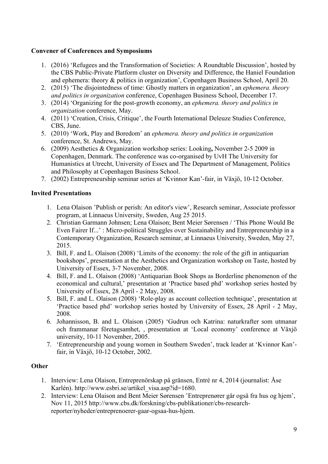#### **Convener of Conferences and Symposiums**

- 1. (2016) 'Refugees and the Transformation of Societies: A Roundtable Discussion', hosted by the CBS Public-Private Platform cluster on Diversity and Difference, the Haniel Foundation and ephemera: theory & politics in organization', Copenhagen Business School, April 20.
- 2. (2015) 'The disjointedness of time: Ghostly matters in organization', an *ephemera. theory and politics in organization* conference, Copenhagen Business School, December 17.
- 3. (2014) 'Organizing for the post-growth economy, an *ephemera. theory and politics in organization* conference, May.
- 4. (2011) 'Creation, Crisis, Critique', the Fourth International Deleuze Studies Conference, CBS, June.
- 5. (2010) 'Work, Play and Boredom' an *ephemera. theory and politics in organization* conference, St. Andrews, May.
- 6. (2009) Aesthetics & Organization workshop series: Looking**,** November 2-5 2009 in Copenhagen, Denmark. The conference was co-organised by UvH The University for Humanistics at Utrecht, University of Essex and The Department of Management, Politics and Philosophy at Copenhagen Business School.
- 7. (2002) Entrepreneurship seminar series at 'Kvinnor Kan'-fair, in Växjö, 10-12 October.

#### **Invited Presentations**

- 1. Lena Olaison 'Publish or perish: An editor's view', Research seminar, Associate professor program, at Linnaeus University, Sweden, Aug 25 2015.
- 2. Christian Garmann Johnsen; Lena Olaison; Bent Meier Sørensen / 'This Phone Would Be Even Fairer If...' : Micro-political Struggles over Sustainability and Entrepreneurship in a Contemporary Organization, Research seminar, at Linnaeus University, Sweden, May 27, 2015.
- 3. Bill, F. and L. Olaison (2008) 'Limits of the economy: the role of the gift in antiquarian bookshops', presentation at the Aesthetics and Organization workshop on Taste, hosted by University of Essex, 3-7 November, 2008.
- 4. Bill, F. and L. Olaison (2008) 'Antiquarian Book Shops as Borderline phenomenon of the economical and cultural,' presentation at 'Practice based phd' workshop series hosted by University of Essex, 28 April - 2 May, 2008.
- 5. Bill, F. and L. Olaison (2008) 'Role-play as account collection technique', presentation at 'Practice based phd' workshop series hosted by University of Essex, 28 April - 2 May, 2008.
- 6. Johannisson, B. and L. Olaison (2005) 'Gudrun och Katrina: naturkrafter som utmanar och frammanar företagsamhet, , presentation at 'Local economy' conference at Växjö university, 10-11 November, 2005.
- 7. 'Entrepreneurship and young women in Southern Sweden', track leader at 'Kvinnor Kan' fair, in Växjö, 10-12 October, 2002.

#### **Other**

- 1. Interview: Lena Olaison, Entreprenörskap på gränsen, Entré nr 4, 2014 (journalist: Åse Karlén). http://www.esbri.se/artikel\_visa.asp?id=1680.
- 2. Interview: Lena Olaison and Bent Meier Sørensen 'Entreprenører går også fra hus og hjem', Nov 11, 2015 http://www.cbs.dk/forskning/cbs-publikationer/cbs-researchreporter/nyheder/entreprenoerer-gaar-ogsaa-hus-hjem.